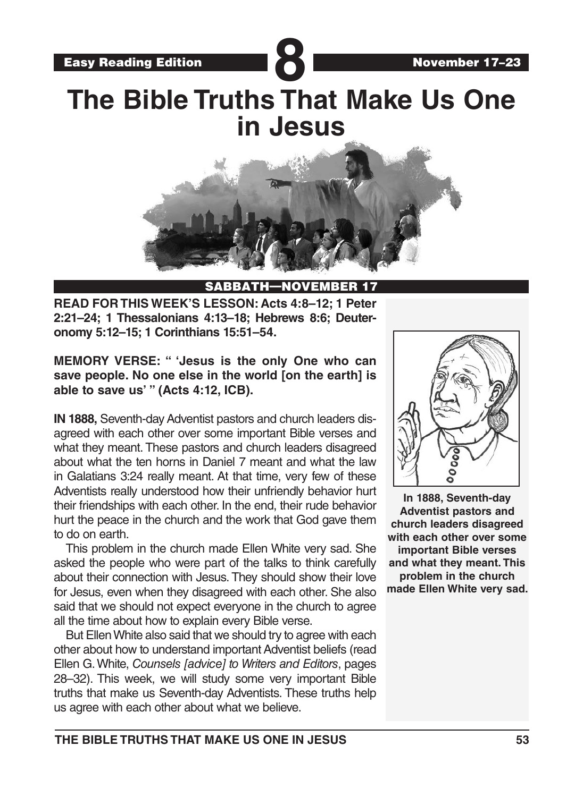Easy Reading Edition **Participal Property** 

# **The Bible Truths That Make Us One in Jesus**



### SABBATH—NOVEM

**READ FOR THIS WEEK'S LESSON: Acts 4:8–12; 1 Peter 2:21–24; 1 Thessalonians 4:13–18; Hebrews 8:6; Deuteronomy 5:12–15; 1 Corinthians 15:51–54.** 

**MEMORY VERSE: " 'Jesus is the only One who can save people. No one else in the world [on the earth] is able to save us' " (Acts 4:12, ICB).**

**IN 1888,** Seventh-day Adventist pastors and church leaders disagreed with each other over some important Bible verses and what they meant. These pastors and church leaders disagreed about what the ten horns in Daniel 7 meant and what the law in Galatians 3:24 really meant. At that time, very few of these Adventists really understood how their unfriendly behavior hurt their friendships with each other. In the end, their rude behavior hurt the peace in the church and the work that God gave them to do on earth.

This problem in the church made Ellen White very sad. She asked the people who were part of the talks to think carefully about their connection with Jesus. They should show their love for Jesus, even when they disagreed with each other. She also said that we should not expect everyone in the church to agree all the time about how to explain every Bible verse.

But Ellen White also said that we should try to agree with each other about how to understand important Adventist beliefs (read Ellen G. White, *Counsels [advice] to Writers and Editors*, pages 28–32). This week, we will study some very important Bible truths that make us Seventh-day Adventists. These truths help us agree with each other about what we believe.



**In 1888, Seventh-day Adventist pastors and church leaders disagreed with each other over some important Bible verses and what they meant. This problem in the church made Ellen White very sad.**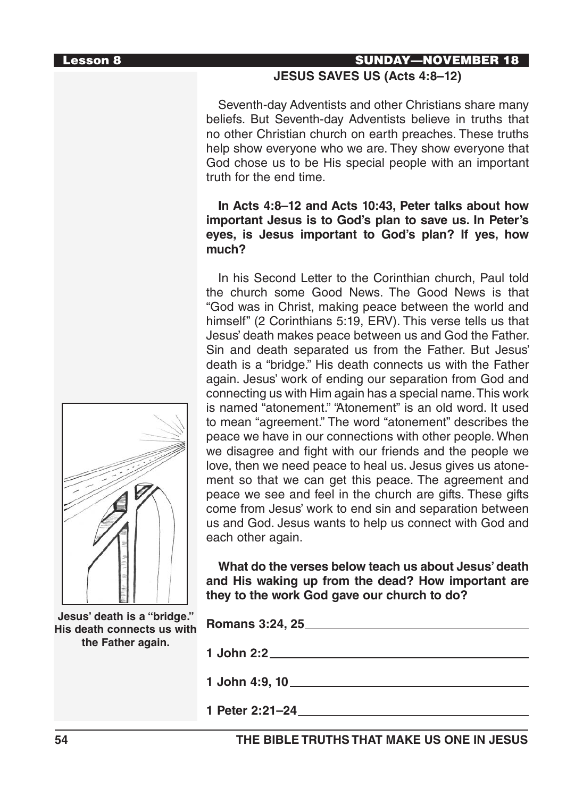### Lesson 8 SUNDAY—NOVEMBER 18

### **JESUS SAVES US (Acts 4:8–12)**

Seventh-day Adventists and other Christians share many beliefs. But Seventh-day Adventists believe in truths that no other Christian church on earth preaches. These truths help show everyone who we are. They show everyone that God chose us to be His special people with an important truth for the end time.

### **In Acts 4:8–12 and Acts 10:43, Peter talks about how important Jesus is to God's plan to save us. In Peter's eyes, is Jesus important to God's plan? If yes, how much?**

In his Second Letter to the Corinthian church, Paul told the church some Good News. The Good News is that "God was in Christ, making peace between the world and himself" (2 Corinthians 5:19, ERV). This verse tells us that Jesus' death makes peace between us and God the Father. Sin and death separated us from the Father. But Jesus' death is a "bridge." His death connects us with the Father again. Jesus' work of ending our separation from God and connecting us with Him again has a special name. This work is named "atonement." "Atonement" is an old word. It used to mean "agreement." The word "atonement" describes the peace we have in our connections with other people. When we disagree and fight with our friends and the people we love, then we need peace to heal us. Jesus gives us atonement so that we can get this peace. The agreement and peace we see and feel in the church are gifts. These gifts come from Jesus' work to end sin and separation between us and God. Jesus wants to help us connect with God and each other again.

**What do the verses below teach us about Jesus' death and His waking up from the dead? How important are they to the work God gave our church to do?**

| Romans 3:24, 25                                                                                                  |
|------------------------------------------------------------------------------------------------------------------|
|                                                                                                                  |
| 1 John 4:9, 10_____________________                                                                              |
| 1 Peter 2:21-24 and 2012 and 2014 and 2014 and 2014 and 2014 and 2014 and 2014 and 2014 and 2014 and 2014 and 20 |
| His death connects us with                                                                                       |

**54 THE BIBLE TRUTHS THAT MAKE US ONE IN JESUS**

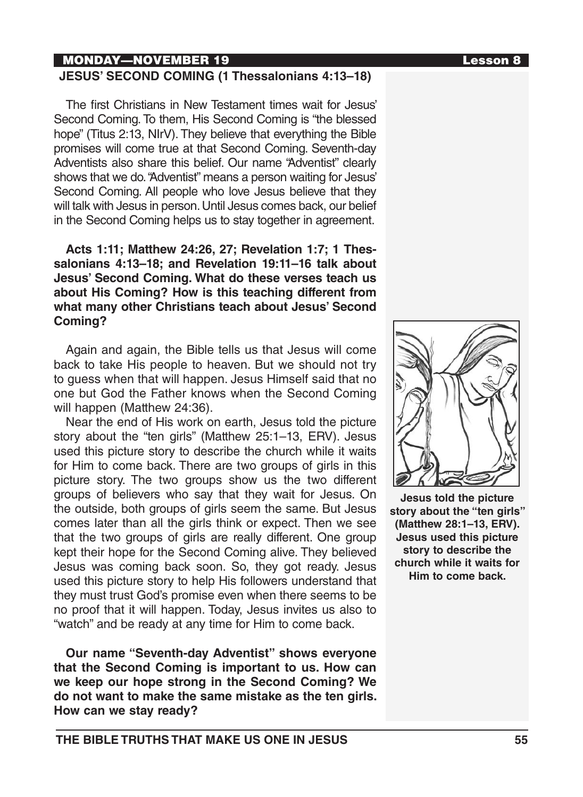### MONDAY—NOVEMBER 19 Lesson 8

### **JESUS' SECOND COMING (1 Thessalonians 4:13–18)**

The first Christians in New Testament times wait for Jesus' Second Coming. To them, His Second Coming is "the blessed hope" (Titus 2:13, NIrV). They believe that everything the Bible promises will come true at that Second Coming. Seventh-day Adventists also share this belief. Our name "Adventist" clearly shows that we do. "Adventist" means a person waiting for Jesus' Second Coming. All people who love Jesus believe that they will talk with Jesus in person. Until Jesus comes back, our belief in the Second Coming helps us to stay together in agreement.

### **Acts 1:11; Matthew 24:26, 27; Revelation 1:7; 1 Thessalonians 4:13–18; and Revelation 19:11–16 talk about Jesus' Second Coming. What do these verses teach us about His Coming? How is this teaching different from what many other Christians teach about Jesus' Second Coming?**

Again and again, the Bible tells us that Jesus will come back to take His people to heaven. But we should not try to guess when that will happen. Jesus Himself said that no one but God the Father knows when the Second Coming will happen (Matthew 24:36).

Near the end of His work on earth, Jesus told the picture story about the "ten girls" (Matthew 25:1–13, ERV). Jesus used this picture story to describe the church while it waits for Him to come back. There are two groups of girls in this picture story. The two groups show us the two different groups of believers who say that they wait for Jesus. On the outside, both groups of girls seem the same. But Jesus comes later than all the girls think or expect. Then we see that the two groups of girls are really different. One group kept their hope for the Second Coming alive. They believed Jesus was coming back soon. So, they got ready. Jesus used this picture story to help His followers understand that they must trust God's promise even when there seems to be no proof that it will happen. Today, Jesus invites us also to "watch" and be ready at any time for Him to come back.

**Our name "Seventh-day Adventist" shows everyone that the Second Coming is important to us. How can we keep our hope strong in the Second Coming? We do not want to make the same mistake as the ten girls. How can we stay ready?**





**Jesus told the picture story about the "ten girls" (Matthew 28:1–13, ERV). Jesus used this picture story to describe the church while it waits for Him to come back.**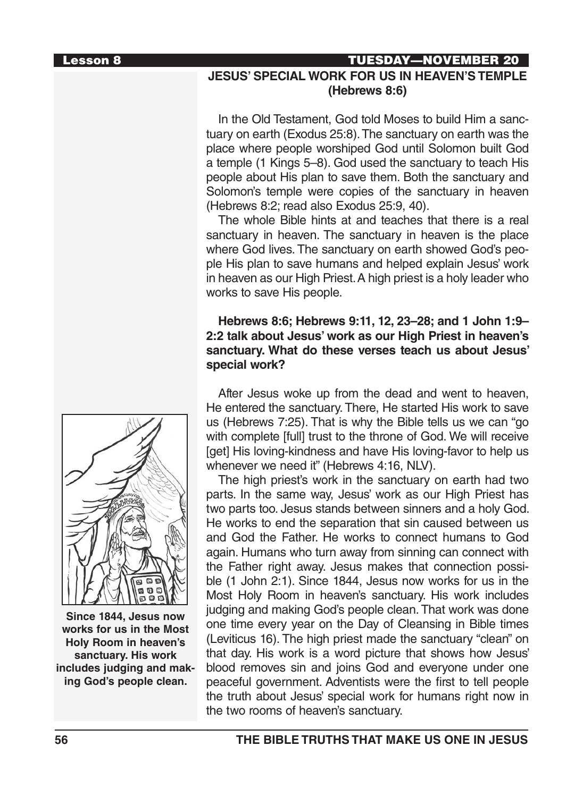## Lesson 8 TUESDAY—NOVEMBER 20

### **JESUS' SPECIAL WORK FOR US IN HEAVEN'S TEMPLE (Hebrews 8:6)**

In the Old Testament, God told Moses to build Him a sanctuary on earth (Exodus 25:8). The sanctuary on earth was the place where people worshiped God until Solomon built God a temple (1 Kings 5–8). God used the sanctuary to teach His people about His plan to save them. Both the sanctuary and Solomon's temple were copies of the sanctuary in heaven (Hebrews 8:2; read also Exodus 25:9, 40).

The whole Bible hints at and teaches that there is a real sanctuary in heaven. The sanctuary in heaven is the place where God lives. The sanctuary on earth showed God's people His plan to save humans and helped explain Jesus' work in heaven as our High Priest. A high priest is a holy leader who works to save His people.

### **Hebrews 8:6; Hebrews 9:11, 12, 23–28; and 1 John 1:9– 2:2 talk about Jesus' work as our High Priest in heaven's sanctuary. What do these verses teach us about Jesus' special work?**

After Jesus woke up from the dead and went to heaven, He entered the sanctuary. There, He started His work to save us (Hebrews 7:25). That is why the Bible tells us we can "go with complete [full] trust to the throne of God. We will receive [get] His loving-kindness and have His loving-favor to help us whenever we need it" (Hebrews 4:16, NLV).

The high priest's work in the sanctuary on earth had two parts. In the same way, Jesus' work as our High Priest has two parts too. Jesus stands between sinners and a holy God. He works to end the separation that sin caused between us and God the Father. He works to connect humans to God again. Humans who turn away from sinning can connect with the Father right away. Jesus makes that connection possible (1 John 2:1). Since 1844, Jesus now works for us in the Most Holy Room in heaven's sanctuary. His work includes judging and making God's people clean. That work was done one time every year on the Day of Cleansing in Bible times (Leviticus 16). The high priest made the sanctuary "clean" on that day. His work is a word picture that shows how Jesus' blood removes sin and joins God and everyone under one peaceful government. Adventists were the first to tell people the truth about Jesus' special work for humans right now in the two rooms of heaven's sanctuary.



**Since 1844, Jesus now works for us in the Most Holy Room in heaven's sanctuary. His work includes judging and making God's people clean.**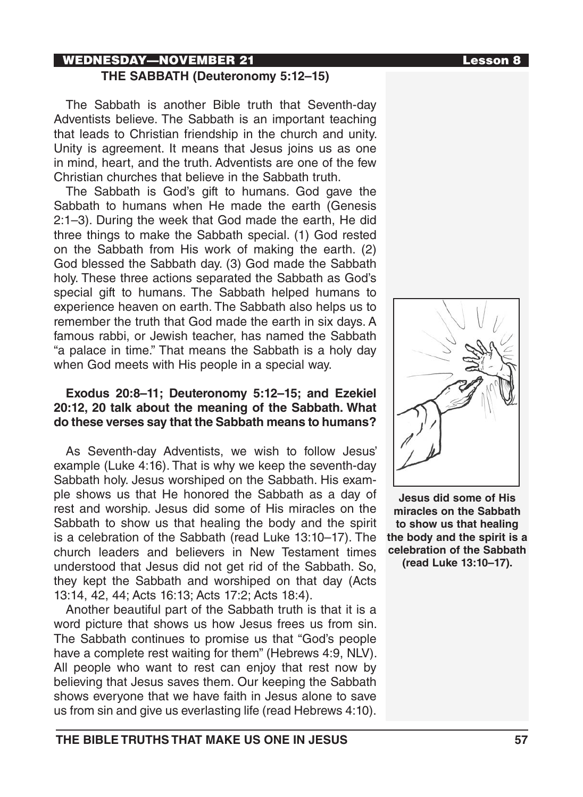## WEDNESDAY—NOVEMBER 21 Lesson 8

### **THE SABBATH (Deuteronomy 5:12–15)**

The Sabbath is another Bible truth that Seventh-day Adventists believe. The Sabbath is an important teaching that leads to Christian friendship in the church and unity. Unity is agreement. It means that Jesus joins us as one in mind, heart, and the truth. Adventists are one of the few Christian churches that believe in the Sabbath truth.

The Sabbath is God's gift to humans. God gave the Sabbath to humans when He made the earth (Genesis 2:1–3). During the week that God made the earth, He did three things to make the Sabbath special. (1) God rested on the Sabbath from His work of making the earth. (2) God blessed the Sabbath day. (3) God made the Sabbath holy. These three actions separated the Sabbath as God's special gift to humans. The Sabbath helped humans to experience heaven on earth. The Sabbath also helps us to remember the truth that God made the earth in six days. A famous rabbi, or Jewish teacher, has named the Sabbath "a palace in time." That means the Sabbath is a holy day when God meets with His people in a special way.

### **Exodus 20:8–11; Deuteronomy 5:12–15; and Ezekiel 20:12, 20 talk about the meaning of the Sabbath. What do these verses say that the Sabbath means to humans?**

As Seventh-day Adventists, we wish to follow Jesus' example (Luke 4:16). That is why we keep the seventh-day Sabbath holy. Jesus worshiped on the Sabbath. His example shows us that He honored the Sabbath as a day of rest and worship. Jesus did some of His miracles on the Sabbath to show us that healing the body and the spirit is a celebration of the Sabbath (read Luke 13:10–17). The church leaders and believers in New Testament times understood that Jesus did not get rid of the Sabbath. So, they kept the Sabbath and worshiped on that day (Acts 13:14, 42, 44; Acts 16:13; Acts 17:2; Acts 18:4).

Another beautiful part of the Sabbath truth is that it is a word picture that shows us how Jesus frees us from sin. The Sabbath continues to promise us that "God's people have a complete rest waiting for them" (Hebrews 4:9, NLV). All people who want to rest can enjoy that rest now by believing that Jesus saves them. Our keeping the Sabbath shows everyone that we have faith in Jesus alone to save us from sin and give us everlasting life (read Hebrews 4:10).



**Jesus did some of His miracles on the Sabbath to show us that healing the body and the spirit is a celebration of the Sabbath (read Luke 13:10–17).**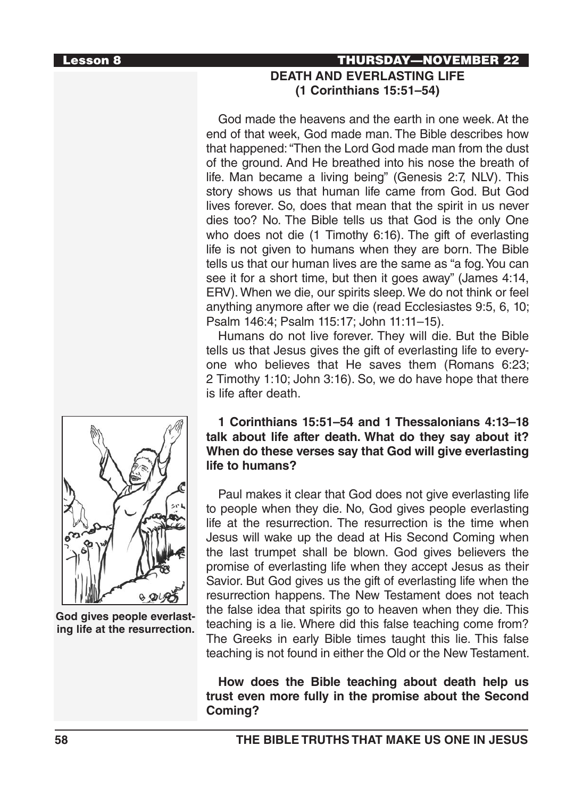## Lesson 8 THURSDAY—NOVEMBER 22 **DEATH AND EVERLASTING LIFE (1 Corinthians 15:51–54)**

God made the heavens and the earth in one week. At the end of that week, God made man. The Bible describes how that happened: "Then the Lord God made man from the dust of the ground. And He breathed into his nose the breath of life. Man became a living being" (Genesis 2:7, NLV). This story shows us that human life came from God. But God lives forever. So, does that mean that the spirit in us never dies too? No. The Bible tells us that God is the only One who does not die (1 Timothy 6:16). The gift of everlasting life is not given to humans when they are born. The Bible tells us that our human lives are the same as "a fog. You can see it for a short time, but then it goes away" (James 4:14, ERV). When we die, our spirits sleep. We do not think or feel anything anymore after we die (read Ecclesiastes 9:5, 6, 10; Psalm 146:4; Psalm 115:17; John 11:11–15).

Humans do not live forever. They will die. But the Bible tells us that Jesus gives the gift of everlasting life to everyone who believes that He saves them (Romans 6:23; 2 Timothy 1:10; John 3:16). So, we do have hope that there is life after death.

### **1 Corinthians 15:51–54 and 1 Thessalonians 4:13–18 talk about life after death. What do they say about it? When do these verses say that God will give everlasting life to humans?**

Paul makes it clear that God does not give everlasting life to people when they die. No, God gives people everlasting life at the resurrection. The resurrection is the time when Jesus will wake up the dead at His Second Coming when the last trumpet shall be blown. God gives believers the promise of everlasting life when they accept Jesus as their Savior. But God gives us the gift of everlasting life when the resurrection happens. The New Testament does not teach the false idea that spirits go to heaven when they die. This teaching is a lie. Where did this false teaching come from? The Greeks in early Bible times taught this lie. This false teaching is not found in either the Old or the New Testament.

### **How does the Bible teaching about death help us trust even more fully in the promise about the Second Coming?**



**God gives people everlasting life at the resurrection.**